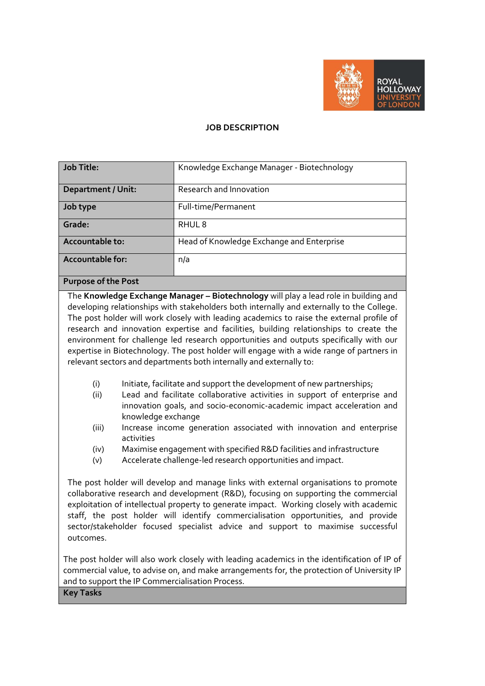

## **JOB DESCRIPTION**

| <b>Job Title:</b>         | Knowledge Exchange Manager - Biotechnology |
|---------------------------|--------------------------------------------|
| <b>Department / Unit:</b> | Research and Innovation                    |
| Job type                  | Full-time/Permanent                        |
| Grade:                    | RHUL <sub>8</sub>                          |
| Accountable to:           | Head of Knowledge Exchange and Enterprise  |
| <b>Accountable for:</b>   | n/a                                        |

## **Purpose of the Post**

The **Knowledge Exchange Manager – Biotechnology** will play a lead role in building and developing relationships with stakeholders both internally and externally to the College. The post holder will work closely with leading academics to raise the external profile of research and innovation expertise and facilities, building relationships to create the environment for challenge led research opportunities and outputs specifically with our expertise in Biotechnology. The post holder will engage with a wide range of partners in relevant sectors and departments both internally and externally to:

- (i) Initiate, facilitate and support the development of new partnerships;
- (ii) Lead and facilitate collaborative activities in support of enterprise and innovation goals, and socio-economic-academic impact acceleration and knowledge exchange
- (iii) Increase income generation associated with innovation and enterprise activities
- (iv) Maximise engagement with specified R&D facilities and infrastructure
- (v) Accelerate challenge-led research opportunities and impact.

The post holder will develop and manage links with external organisations to promote collaborative research and development (R&D), focusing on supporting the commercial exploitation of intellectual property to generate impact. Working closely with academic staff, the post holder will identify commercialisation opportunities, and provide sector/stakeholder focused specialist advice and support to maximise successful outcomes.

The post holder will also work closely with leading academics in the identification of IP of commercial value, to advise on, and make arrangements for, the protection of University IP and to support the IP Commercialisation Process.

**Key Tasks**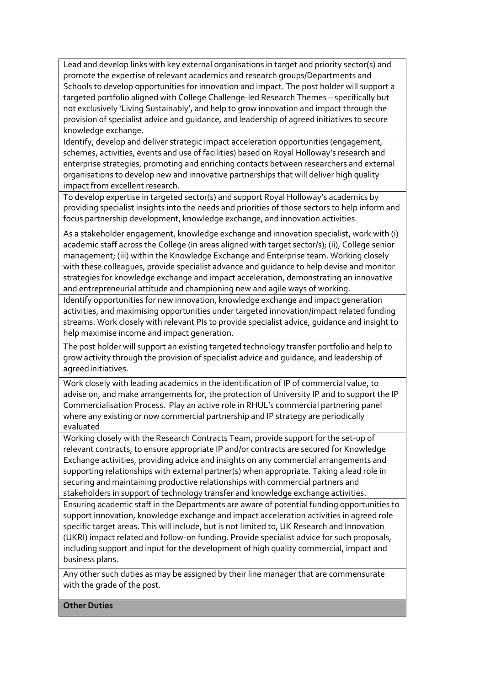Lead and develop links with key external organisations in target and priority sector(s) and promote the expertise of relevant academics and research groups/Departments and Schools to develop opportunities for innovation and impact. The post holder will support a targeted portfolio aligned with College Challenge-led Research Themes – specifically but not exclusively 'Living Sustainably', and help to grow innovation and impact through the provision of specialist advice and guidance, and leadership of agreed initiatives to secure knowledge exchange.

Identify, develop and deliver strategic impact acceleration opportunities (engagement, schemes, activities, events and use of facilities) based on Royal Holloway's research and enterprise strategies, promoting and enriching contacts between researchers and external organisations to develop new and innovative partnerships that will deliver high quality impact from excellent research.

To develop expertise in targeted sector(s) and support Royal Holloway's academics by providing specialist insights into the needs and priorities of those sectors to help inform and focus partnership development, knowledge exchange, and innovation activities.

As a stakeholder engagement, knowledge exchange and innovation specialist, work with (i) academic staff across the College (in areas aligned with target sector/s); (ii), College senior management; (iii) within the Knowledge Exchange and Enterprise team. Working closely with these colleagues, provide specialist advance and guidance to help devise and monitor strategies for knowledge exchange and impact acceleration, demonstrating an innovative and entrepreneurial attitude and championing new and agile ways of working.

Identify opportunities for new innovation, knowledge exchange and impact generation activities, and maximising opportunities under targeted innovation/impact related funding streams. Work closely with relevant PIs to provide specialist advice, guidance and insight to help maximise income and impact generation.

The post holder will support an existing targeted technology transfer portfolio and help to grow activity through the provision of specialist advice and guidance, and leadership of agreed initiatives.

Work closely with leading academics in the identification of IP of commercial value, to advise on, and make arrangements for, the protection of University IP and to support the IP Commercialisation Process. Play an active role in RHUL's commercial partnering panel where any existing or now commercial partnership and IP strategy are periodically evaluated

Working closely with the Research Contracts Team, provide support for the set-up of relevant contracts, to ensure appropriate IP and/or contracts are secured for Knowledge Exchange activities, providing advice and insights on any commercial arrangements and supporting relationships with external partner(s) when appropriate. Taking a lead role in securing and maintaining productive relationships with commercial partners and stakeholders in support of technology transfer and knowledge exchange activities.

Ensuring academic staff in the Departments are aware of potential funding opportunities to support innovation, knowledge exchange and impact acceleration activities in agreed role specific target areas. This will include, but is not limited to, UK Research and Innovation (UKRI) impact related and follow-on funding. Provide specialist advice for such proposals, including support and input for the development of high quality commercial, impact and business plans.

Any other such duties as may be assigned by their line manager that are commensurate with the grade of the post.

**Other Duties**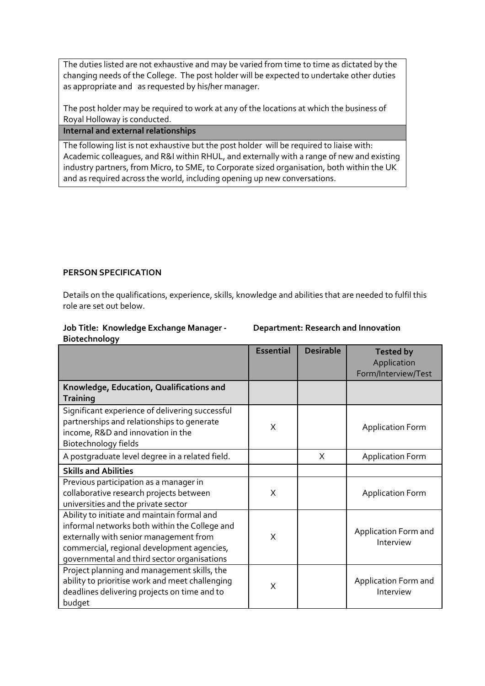The duties listed are not exhaustive and may be varied from time to time as dictated by the changing needs of the College. The post holder will be expected to undertake other duties as appropriate and as requested by his/her manager.

The post holder may be required to work at any of the locations at which the business of Royal Holloway is conducted.

**Internal and external relationships**

The following list is not exhaustive but the post holder will be required to liaise with: Academic colleagues, and R&I within RHUL, and externally with a range of new and existing industry partners, from Micro, to SME, to Corporate sized organisation, both within the UK and as required across the world, including opening up new conversations.

## **PERSON SPECIFICATION**

Details on the qualifications, experience, skills, knowledge and abilities that are needed to fulfil this role are set out below.

## **Job Title: Knowledge Exchange Manager - Biotechnology**

**Department: Research and Innovation** 

|                                                                                                                                                                                                                                     | <b>Essential</b> | <b>Desirable</b> | <b>Tested by</b><br>Application<br>Form/Interview/Test |
|-------------------------------------------------------------------------------------------------------------------------------------------------------------------------------------------------------------------------------------|------------------|------------------|--------------------------------------------------------|
| Knowledge, Education, Qualifications and<br><b>Training</b>                                                                                                                                                                         |                  |                  |                                                        |
| Significant experience of delivering successful<br>partnerships and relationships to generate<br>income, R&D and innovation in the<br>Biotechnology fields                                                                          | X                |                  | <b>Application Form</b>                                |
| A postgraduate level degree in a related field.                                                                                                                                                                                     |                  | X                | <b>Application Form</b>                                |
| <b>Skills and Abilities</b>                                                                                                                                                                                                         |                  |                  |                                                        |
| Previous participation as a manager in<br>collaborative research projects between<br>universities and the private sector                                                                                                            | X                |                  | <b>Application Form</b>                                |
| Ability to initiate and maintain formal and<br>informal networks both within the College and<br>externally with senior management from<br>commercial, regional development agencies,<br>governmental and third sector organisations | X                |                  | Application Form and<br>Interview                      |
| Project planning and management skills, the<br>ability to prioritise work and meet challenging<br>deadlines delivering projects on time and to<br>budget                                                                            | X                |                  | Application Form and<br>Interview                      |